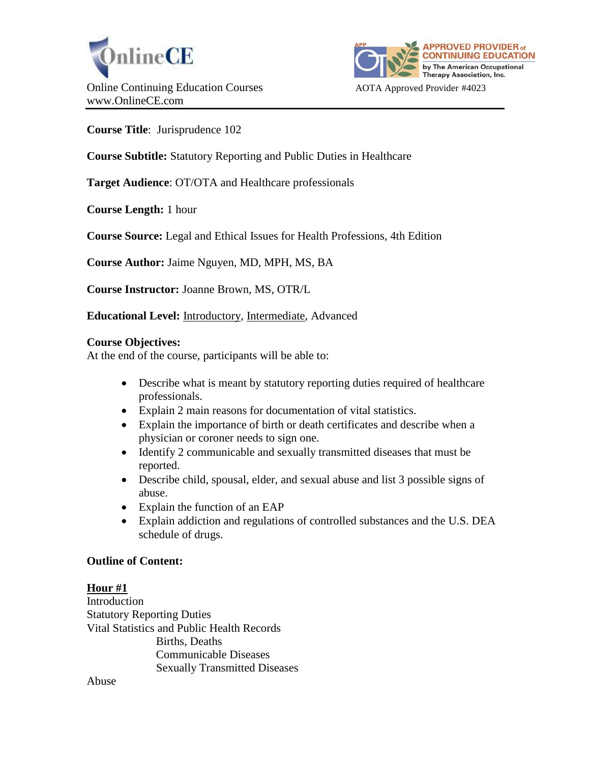



**Course Title**: Jurisprudence 102

**Course Subtitle:** Statutory Reporting and Public Duties in Healthcare

**Target Audience**: OT/OTA and Healthcare professionals

**Course Length:** 1 hour

**Course Source:** Legal and Ethical Issues for Health Professions, 4th Edition

**Course Author:** Jaime Nguyen, MD, MPH, MS, BA

**Course Instructor:** Joanne Brown, MS, OTR/L

**Educational Level:** Introductory, Intermediate, Advanced

#### **Course Objectives:**

At the end of the course, participants will be able to:

- Describe what is meant by statutory reporting duties required of healthcare professionals.
- Explain 2 main reasons for documentation of vital statistics.
- Explain the importance of birth or death certificates and describe when a physician or coroner needs to sign one.
- Identify 2 communicable and sexually transmitted diseases that must be reported.
- Describe child, spousal, elder, and sexual abuse and list 3 possible signs of abuse.
- Explain the function of an EAP
- Explain addiction and regulations of controlled substances and the U.S. DEA schedule of drugs.

# **Outline of Content:**

# **Hour #1**

Introduction Statutory Reporting Duties Vital Statistics and Public Health Records Births, Deaths Communicable Diseases Sexually Transmitted Diseases

Abuse